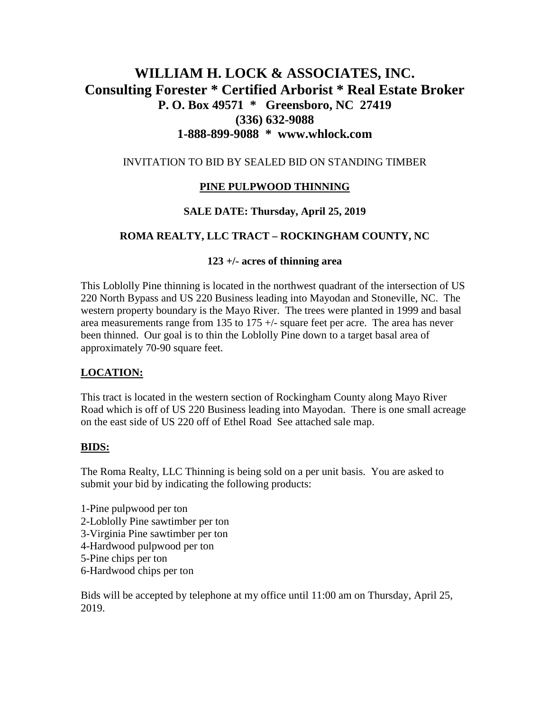# **WILLIAM H. LOCK & ASSOCIATES, INC. Consulting Forester \* Certified Arborist \* Real Estate Broker P. O. Box 49571 \* Greensboro, NC 27419 (336) 632-9088 1-888-899-9088 \* www.whlock.com**

#### INVITATION TO BID BY SEALED BID ON STANDING TIMBER

# **PINE PULPWOOD THINNING**

## **SALE DATE: Thursday, April 25, 2019**

## **ROMA REALTY, LLC TRACT – ROCKINGHAM COUNTY, NC**

#### **123 +/- acres of thinning area**

This Loblolly Pine thinning is located in the northwest quadrant of the intersection of US 220 North Bypass and US 220 Business leading into Mayodan and Stoneville, NC. The western property boundary is the Mayo River. The trees were planted in 1999 and basal area measurements range from 135 to 175 +/- square feet per acre. The area has never been thinned. Our goal is to thin the Loblolly Pine down to a target basal area of approximately 70-90 square feet.

## **LOCATION:**

This tract is located in the western section of Rockingham County along Mayo River Road which is off of US 220 Business leading into Mayodan. There is one small acreage on the east side of US 220 off of Ethel Road See attached sale map.

## **BIDS:**

The Roma Realty, LLC Thinning is being sold on a per unit basis. You are asked to submit your bid by indicating the following products:

- 1-Pine pulpwood per ton
- 2-Loblolly Pine sawtimber per ton
- 3-Virginia Pine sawtimber per ton
- 4-Hardwood pulpwood per ton
- 5-Pine chips per ton
- 6-Hardwood chips per ton

Bids will be accepted by telephone at my office until 11:00 am on Thursday, April 25, 2019.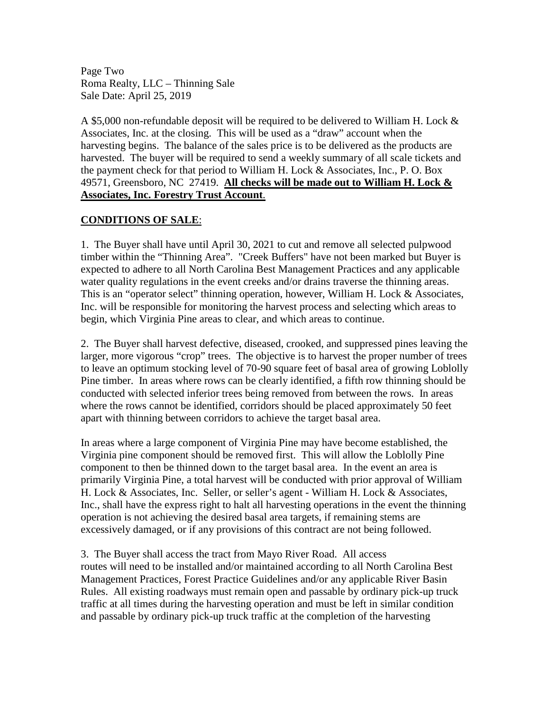Page Two Roma Realty, LLC – Thinning Sale Sale Date: April 25, 2019

A \$5,000 non-refundable deposit will be required to be delivered to William H. Lock & Associates, Inc. at the closing. This will be used as a "draw" account when the harvesting begins. The balance of the sales price is to be delivered as the products are harvested. The buyer will be required to send a weekly summary of all scale tickets and the payment check for that period to William H. Lock & Associates, Inc., P. O. Box 49571, Greensboro, NC 27419. **All checks will be made out to William H. Lock & Associates, Inc. Forestry Trust Account**.

#### **CONDITIONS OF SALE**:

1. The Buyer shall have until April 30, 2021 to cut and remove all selected pulpwood timber within the "Thinning Area". "Creek Buffers" have not been marked but Buyer is expected to adhere to all North Carolina Best Management Practices and any applicable water quality regulations in the event creeks and/or drains traverse the thinning areas. This is an "operator select" thinning operation, however, William H. Lock & Associates, Inc. will be responsible for monitoring the harvest process and selecting which areas to begin, which Virginia Pine areas to clear, and which areas to continue.

2. The Buyer shall harvest defective, diseased, crooked, and suppressed pines leaving the larger, more vigorous "crop" trees. The objective is to harvest the proper number of trees to leave an optimum stocking level of 70-90 square feet of basal area of growing Loblolly Pine timber. In areas where rows can be clearly identified, a fifth row thinning should be conducted with selected inferior trees being removed from between the rows. In areas where the rows cannot be identified, corridors should be placed approximately 50 feet apart with thinning between corridors to achieve the target basal area.

In areas where a large component of Virginia Pine may have become established, the Virginia pine component should be removed first. This will allow the Loblolly Pine component to then be thinned down to the target basal area. In the event an area is primarily Virginia Pine, a total harvest will be conducted with prior approval of William H. Lock & Associates, Inc. Seller, or seller's agent - William H. Lock & Associates, Inc., shall have the express right to halt all harvesting operations in the event the thinning operation is not achieving the desired basal area targets, if remaining stems are excessively damaged, or if any provisions of this contract are not being followed.

3. The Buyer shall access the tract from Mayo River Road. All access routes will need to be installed and/or maintained according to all North Carolina Best Management Practices, Forest Practice Guidelines and/or any applicable River Basin Rules. All existing roadways must remain open and passable by ordinary pick-up truck traffic at all times during the harvesting operation and must be left in similar condition and passable by ordinary pick-up truck traffic at the completion of the harvesting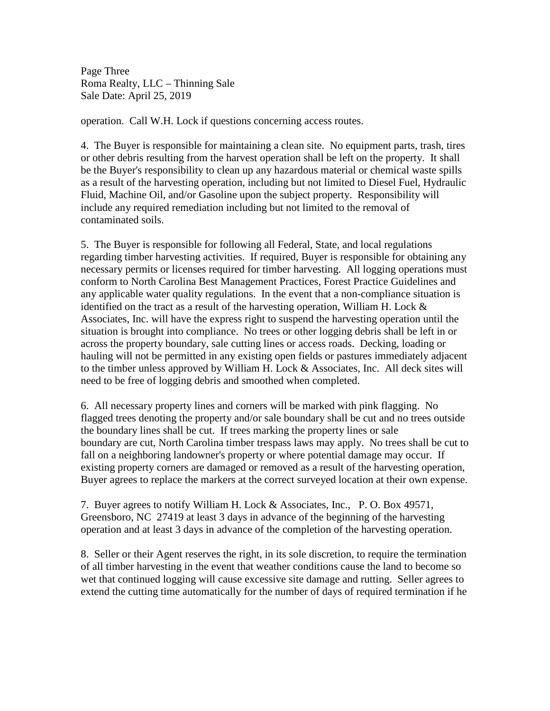Page Three Roma Realty, LLC – Thinning Sale Sale Date: April 25, 2019

operation. Call W.H. Lock if questions concerning access routes.

4. The Buyer is responsible for maintaining a clean site. No equipment parts, trash, tires or other debris resulting from the harvest operation shall be left on the property. It shall be the Buyer's responsibility to clean up any hazardous material or chemical waste spills as a result of the harvesting operation, including but not limited to Diesel Fuel, Hydraulic Fluid, Machine Oil, and/or Gasoline upon the subject property. Responsibility will include any required remediation including but not limited to the removal of contaminated soils.

5. The Buyer is responsible for following all Federal, State, and local regulations regarding timber harvesting activities. If required, Buyer is responsible for obtaining any necessary permits or licenses required for timber harvesting. All logging operations must conform to North Carolina Best Management Practices, Forest Practice Guidelines and any applicable water quality regulations. In the event that a non-compliance situation is identified on the tract as a result of the harvesting operation, William H. Lock & Associates, Inc. will have the express right to suspend the harvesting operation until the situation is brought into compliance. No trees or other logging debris shall be left in or across the property boundary, sale cutting lines or access roads. Decking, loading or hauling will not be permitted in any existing open fields or pastures immediately adjacent to the timber unless approved by William H. Lock & Associates, Inc. All deck sites will need to be free of logging debris and smoothed when completed.

6. All necessary property lines and corners will be marked with pink flagging. No flagged trees denoting the property and/or sale boundary shall be cut and no trees outside the boundary lines shall be cut. If trees marking the property lines or sale boundary are cut, North Carolina timber trespass laws may apply. No trees shall be cut to fall on a neighboring landowner's property or where potential damage may occur. If existing property corners are damaged or removed as a result of the harvesting operation, Buyer agrees to replace the markers at the correct surveyed location at their own expense.

7. Buyer agrees to notify William H. Lock & Associates, Inc., P. O. Box 49571, Greensboro, NC 27419 at least 3 days in advance of the beginning of the harvesting operation and at least 3 days in advance of the completion of the harvesting operation.

8. Seller or their Agent reserves the right, in its sole discretion, to require the termination of all timber harvesting in the event that weather conditions cause the land to become so wet that continued logging will cause excessive site damage and rutting. Seller agrees to extend the cutting time automatically for the number of days of required termination if he